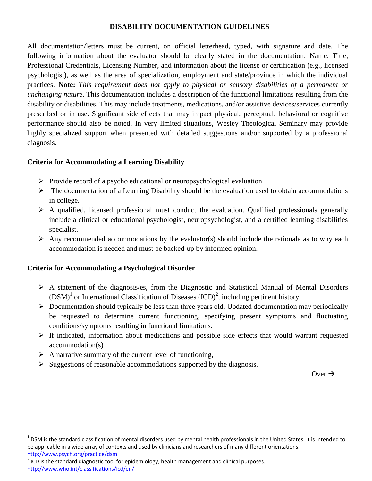# **DISABILITY DOCUMENTATION GUIDELINES**

All documentation/letters must be current, on official letterhead, typed, with signature and date. The following information about the evaluator should be clearly stated in the documentation: Name, Title, Professional Credentials, Licensing Number, and information about the license or certification (e.g., licensed psychologist), as well as the area of specialization, employment and state/province in which the individual practices. **Note:** *This requirement does not apply to physical or sensory disabilities of a permanent or unchanging nature.* This documentation includes a description of the functional limitations resulting from the disability or disabilities. This may include treatments, medications, and/or assistive devices/services currently prescribed or in use. Significant side effects that may impact physical, perceptual, behavioral or cognitive performance should also be noted. In very limited situations, Wesley Theological Seminary may provide highly specialized support when presented with detailed suggestions and/or supported by a professional diagnosis.

## **Criteria for Accommodating a Learning Disability**

- $\triangleright$  Provide record of a psycho educational or neuropsychological evaluation.
- $\triangleright$  The documentation of a Learning Disability should be the evaluation used to obtain accommodations in college.
- $\triangleright$  A qualified, licensed professional must conduct the evaluation. Qualified professionals generally include a clinical or educational psychologist, neuropsychologist, and a certified learning disabilities specialist.
- $\triangleright$  Any recommended accommodations by the evaluator(s) should include the rationale as to why each accommodation is needed and must be backed-up by informed opinion.

#### **Criteria for Accommodating a Psychological Disorder**

- $\triangleright$  A statement of the diagnosis/es, from the Diagnostic and Statistical Manual of Mental Disorders  $(DSM)^1$  or International Classification of Diseases  $(ICD)^2$ , including pertinent history.
- $\triangleright$  Documentation should typically be less than three years old. Updated documentation may periodically be requested to determine current functioning, specifying present symptoms and fluctuating conditions/symptoms resulting in functional limitations.
- $\triangleright$  If indicated, information about medications and possible side effects that would warrant requested accommodation(s)
- $\triangleright$  A narrative summary of the current level of functioning,

l

 $\triangleright$  Suggestions of reasonable accommodations supported by the diagnosis.

Over  $\rightarrow$ 

 $^1$  DSM is the standard classification of mental disorders used by mental health professionals in the United States. It is intended to be applicable in a wide array of contexts and used by clinicians and researchers of many different orientations. <http://www.psych.org/practice/dsm>

 $2$  ICD is the standard diagnostic tool for epidemiology, health management and clinical purposes. <http://www.who.int/classifications/icd/en/>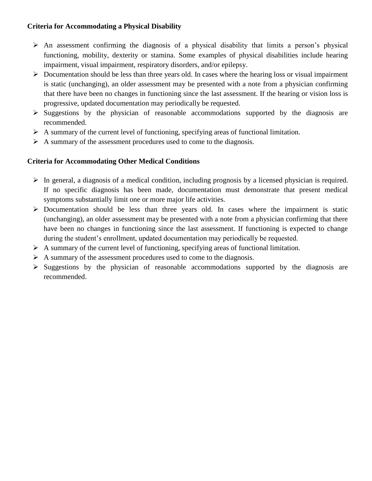### **Criteria for Accommodating a Physical Disability**

- $\triangleright$  An assessment confirming the diagnosis of a physical disability that limits a person's physical functioning, mobility, dexterity or stamina. Some examples of physical disabilities include hearing impairment, visual impairment, respiratory disorders, and/or epilepsy.
- $\triangleright$  Documentation should be less than three years old. In cases where the hearing loss or visual impairment is static (unchanging), an older assessment may be presented with a note from a physician confirming that there have been no changes in functioning since the last assessment. If the hearing or vision loss is progressive, updated documentation may periodically be requested.
- $\triangleright$  Suggestions by the physician of reasonable accommodations supported by the diagnosis are recommended.
- $\triangleright$  A summary of the current level of functioning, specifying areas of functional limitation.
- $\triangleright$  A summary of the assessment procedures used to come to the diagnosis.

## **Criteria for Accommodating Other Medical Conditions**

- $\triangleright$  In general, a diagnosis of a medical condition, including prognosis by a licensed physician is required. If no specific diagnosis has been made, documentation must demonstrate that present medical symptoms substantially limit one or more major life activities.
- $\triangleright$  Documentation should be less than three years old. In cases where the impairment is static (unchanging), an older assessment may be presented with a note from a physician confirming that there have been no changes in functioning since the last assessment. If functioning is expected to change during the student's enrollment, updated documentation may periodically be requested.
- $\triangleright$  A summary of the current level of functioning, specifying areas of functional limitation.
- $\triangleright$  A summary of the assessment procedures used to come to the diagnosis.
- $\triangleright$  Suggestions by the physician of reasonable accommodations supported by the diagnosis are recommended.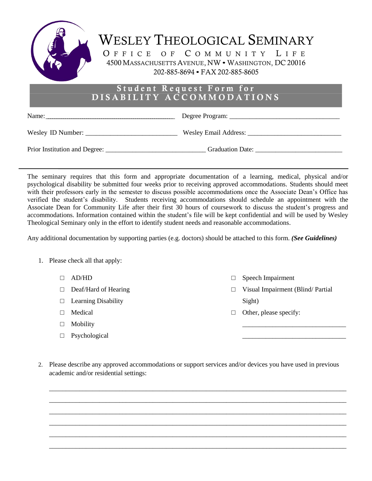

| Wesley ID Number: | <b>Wesley Email Address:</b> |
|-------------------|------------------------------|
|-------------------|------------------------------|

Prior Institution and Degree: \_\_\_\_\_\_\_\_\_\_\_\_\_\_\_\_\_\_\_\_\_\_\_\_\_\_\_\_\_\_\_\_\_Graduation Date: \_\_\_\_\_\_\_\_\_\_\_\_\_\_\_\_\_\_\_\_\_\_\_\_\_\_\_\_\_\_

The seminary requires that this form and appropriate documentation of a learning, medical, physical and/or psychological disability be submitted four weeks prior to receiving approved accommodations. Students should meet with their professors early in the semester to discuss possible accommodations once the Associate Dean's Office has verified the student's disability. Students receiving accommodations should schedule an appointment with the Associate Dean for Community Life after their first 30 hours of coursework to discuss the student's progress and accommodations. Information contained within the student's file will be kept confidential and will be used by Wesley Theological Seminary only in the effort to identify student needs and reasonable accommodations.

Any additional documentation by supporting parties (e.g. doctors) should be attached to this form. *(See Guidelines)*

- 1. Please check all that apply:
	- $\Box$  AD/HD
	- □ Deaf/Hard of Hearing
	- $\Box$  Learning Disability
	- □ Medical
	- □ Mobility
	- □ Psychological
- □ Speech Impairment
- □ Visual Impairment (Blind/ Partial Sight)

\_\_\_\_\_\_\_\_\_\_\_\_\_\_\_\_\_\_\_\_\_\_\_\_\_\_\_\_\_\_\_ \_\_\_\_\_\_\_\_\_\_\_\_\_\_\_\_\_\_\_\_\_\_\_\_\_\_\_\_\_\_\_

- $\Box$  Other, please specify:
- 2. Please describe any approved accommodations or support services and/or devices you have used in previous academic and/or residential settings:

\_\_\_\_\_\_\_\_\_\_\_\_\_\_\_\_\_\_\_\_\_\_\_\_\_\_\_\_\_\_\_\_\_\_\_\_\_\_\_\_\_\_\_\_\_\_\_\_\_\_\_\_\_\_\_\_\_\_\_\_\_\_\_\_\_\_\_\_\_\_\_\_\_\_\_\_\_\_\_\_\_\_\_\_\_\_\_\_\_ \_\_\_\_\_\_\_\_\_\_\_\_\_\_\_\_\_\_\_\_\_\_\_\_\_\_\_\_\_\_\_\_\_\_\_\_\_\_\_\_\_\_\_\_\_\_\_\_\_\_\_\_\_\_\_\_\_\_\_\_\_\_\_\_\_\_\_\_\_\_\_\_\_\_\_\_\_\_\_\_\_\_\_\_\_\_\_\_\_ \_\_\_\_\_\_\_\_\_\_\_\_\_\_\_\_\_\_\_\_\_\_\_\_\_\_\_\_\_\_\_\_\_\_\_\_\_\_\_\_\_\_\_\_\_\_\_\_\_\_\_\_\_\_\_\_\_\_\_\_\_\_\_\_\_\_\_\_\_\_\_\_\_\_\_\_\_\_\_\_\_\_\_\_\_\_\_\_\_ \_\_\_\_\_\_\_\_\_\_\_\_\_\_\_\_\_\_\_\_\_\_\_\_\_\_\_\_\_\_\_\_\_\_\_\_\_\_\_\_\_\_\_\_\_\_\_\_\_\_\_\_\_\_\_\_\_\_\_\_\_\_\_\_\_\_\_\_\_\_\_\_\_\_\_\_\_\_\_\_\_\_\_\_\_\_\_\_\_ \_\_\_\_\_\_\_\_\_\_\_\_\_\_\_\_\_\_\_\_\_\_\_\_\_\_\_\_\_\_\_\_\_\_\_\_\_\_\_\_\_\_\_\_\_\_\_\_\_\_\_\_\_\_\_\_\_\_\_\_\_\_\_\_\_\_\_\_\_\_\_\_\_\_\_\_\_\_\_\_\_\_\_\_\_\_\_\_\_ \_\_\_\_\_\_\_\_\_\_\_\_\_\_\_\_\_\_\_\_\_\_\_\_\_\_\_\_\_\_\_\_\_\_\_\_\_\_\_\_\_\_\_\_\_\_\_\_\_\_\_\_\_\_\_\_\_\_\_\_\_\_\_\_\_\_\_\_\_\_\_\_\_\_\_\_\_\_\_\_\_\_\_\_\_\_\_\_\_